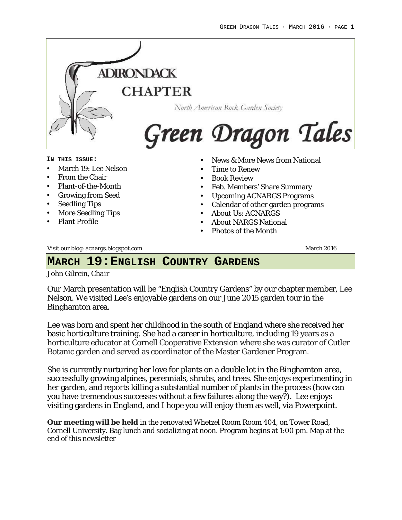

Visit our blog: acnargs.blogspot.com March 2016

#### **MARCH 19:ENGLISH COUNTRY GARDENS**

*John Gilrein, Chair*

Our March presentation will be "English Country Gardens" by our chapter member, Lee Nelson. We visited Lee's enjoyable gardens on our June 2015 garden tour in the Binghamton area.

Lee was born and spent her childhood in the south of England where she received her basic horticulture training. She had a career in horticulture, including 19 years as a horticulture educator at Cornell Cooperative Extension where she was curator of Cutler Botanic garden and served as coordinator of the Master Gardener Program.

She is currently nurturing her love for plants on a double lot in the Binghamton area, successfully growing alpines, perennials, shrubs, and trees. She enjoys experimenting in her garden, and reports killing a substantial number of plants in the process (how can you have tremendous successes without a few failures along the way?). Lee enjoys visiting gardens in England, and I hope you will enjoy them as well, via Powerpoint.

**Our meeting will be held** in the renovated Whetzel Room Room 404, on Tower Road, Cornell University. Bag lunch and socializing at noon. Program begins at 1:00 pm. Map at the end of this newsletter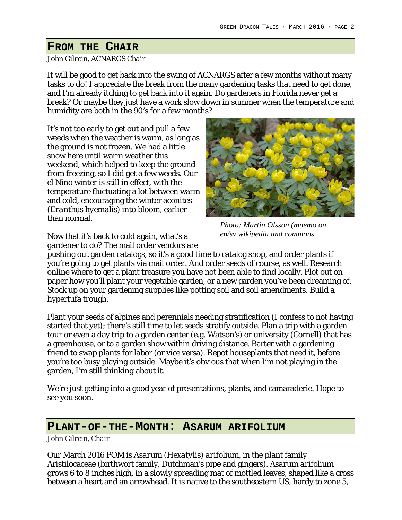## **FROM THE CHAIR**

#### *John Gilrein, ACNARGS Chair*

It will be good to get back into the swing of ACNARGS after a few months without many tasks to do! I appreciate the break from the many gardening tasks that need to get done, and I'm already itching to get back into it again. Do gardeners in Florida never get a break? Or maybe they just have a work slow down in summer when the temperature and humidity are both in the 90's for a few months?

It's not too early to get out and pull a few weeds when the weather is warm, as long as the ground is not frozen. We had a little snow here until warm weather this weekend, which helped to keep the ground from freezing, so I did get a few weeds. Our el Nino winter is still in effect, with the temperature fluctuating a lot between warm and cold, encouraging the winter aconites (*Eranthus hyemalis*) into bloom, earlier than normal.



*Photo: Martin Olsson (mnemo on en/sv wikipedia and commons*

Now that it's back to cold again, what's a gardener to do? The mail order vendors are

pushing out garden catalogs, so it's a good time to catalog shop, and order plants if you're going to get plants via mail order. And order seeds of course, as well. Research online where to get a plant treasure you have not been able to find locally. Plot out on paper how you'll plant your vegetable garden, or a new garden you've been dreaming of. Stock up on your gardening supplies like potting soil and soil amendments. Build a hypertufa trough.

Plant your seeds of alpines and perennials needing stratification (I confess to not having started that yet); there's still time to let seeds stratify outside. Plan a trip with a garden tour or even a day trip to a garden center (e.g. Watson's) or university (Cornell) that has a greenhouse, or to a garden show within driving distance. Barter with a gardening friend to swap plants for labor (or vice versa). Repot houseplants that need it, before you're too busy playing outside. Maybe it's obvious that when I'm not playing in the garden, I'm still *thinking* about it.

We're just getting into a good year of presentations, plants, and camaraderie. Hope to see you soon.

#### **PLANT-OF-THE-MONTH: ASARUM ARIFOLIUM**

#### *John Gilrein, Chair*

Our March 2016 POM is *Asarum (Hexatylis) arifolium*, in the plant family Aristilocaceae (birthwort family, Dutchman's pipe and gingers). *Asarum arifolium* grows 6 to 8 inches high, in a slowly spreading mat of mottled leaves, shaped like a cross between a heart and an arrowhead. It is native to the southeastern US, hardy to zone 5,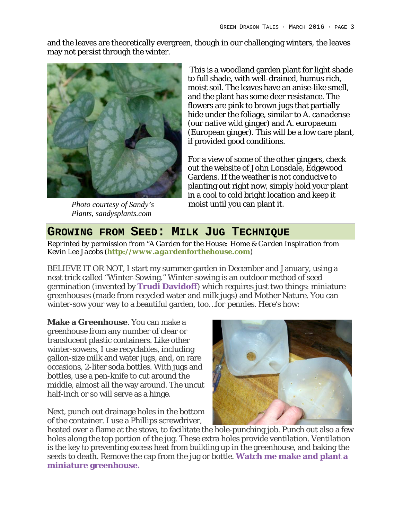and the leaves are theoretically evergreen, though in our challenging winters, the leaves may not persist through the winter.



*Photo courtesy of Sandy's Plants, sandysplants.com*

This is a woodland garden plant for light shade to full shade, with well-drained, humus rich, moist soil. The leaves have an anise-like smell, and the plant has some deer resistance. The flowers are pink to brown jugs that partially hide under the foliage, similar to *A. canadense* (our native wild ginger) and *A. europaeum* (European ginger). This will be a low care plant, if provided good conditions.

For a view of some of the other gingers, check out the website of John Lonsdale, Edgewood Gardens. If the weather is not conducive to planting out right now, simply hold your plant in a cool to cold bright location and keep it moist until you can plant it.

### **GROWING FROM SEED: MILK JUG TECHNIQUE**

*Reprinted by permission from "A Garden for the House: Home & Garden Inspiration from Kevin Lee Jacobs (http://www.agardenforthehouse.com)*

BELIEVE IT OR NOT, I start my summer garden in December and January, using a neat trick called "Winter-Sowing." Winter-sowing is an outdoor method of seed germination (invented by **Trudi Davidoff**) which requires just two things: miniature greenhouses (made from recycled water and milk jugs) and Mother Nature. You can winter-sow your way to a beautiful garden, too…*for pennies*. Here's how:

**Make a Greenhouse**. You can make a greenhouse from any number of clear or translucent plastic containers. Like other winter-sowers, I use recyclables, including gallon-size milk and water jugs, and, on rare occasions, 2-liter soda bottles. With jugs and bottles, use a pen-knife to cut around the middle, almost all the way around. The uncut half-inch or so will serve as a hinge.

Next, punch out drainage holes in the bottom of the container. I use a Phillips screwdriver,



heated over a flame at the stove, to facilitate the hole-punching job. Punch out also a few holes along the top portion of the jug. These extra holes provide ventilation. Ventilation is the key to preventing excess heat from building up in the greenhouse, and baking the seeds to death. Remove the cap from the jug or bottle. **Watch me make and plant a miniature greenhouse.**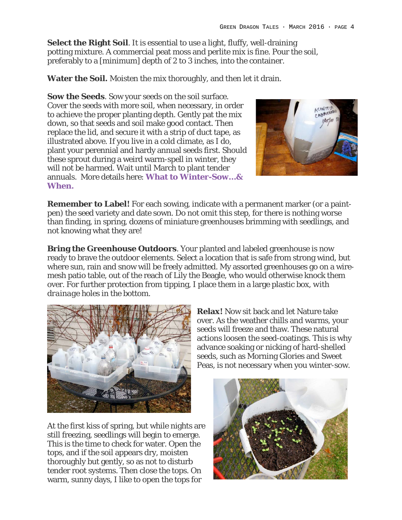**Select the Right Soil**. It is essential to use a light, fluffy, well-draining potting mixture. A commercial peat moss and perlite mix is fine. Pour the soil, preferably to a [minimum] depth of 2 to 3 inches, into the container.

**Water the Soil.** Moisten the mix thoroughly, and then let it drain.

**Sow the Seeds**. Sow your seeds on the soil surface. Cover the seeds with more soil, when necessary, in order to achieve the proper planting depth. Gently pat the mix down, so that seeds and soil make good contact. Then replace the lid, and secure it with a strip of duct tape, as illustrated above. If you live in a cold climate, as I do, plant your perennial and hardy annual seeds first. Should these sprout during a weird warm-spell in winter, they will not be harmed. Wait until March to plant tender annuals. More details here: **What to Winter-Sow…& When.**



**Remember to Label!** For each sowing, indicate with a permanent marker (or a paintpen) the seed variety and date sown. Do not omit this step, for there is nothing worse than finding, in spring, dozens of miniature greenhouses brimming with seedlings, and not knowing what they are!

**Bring the Greenhouse Outdoors**. Your planted and labeled greenhouse is now ready to brave the outdoor elements. Select a location that is safe from strong wind, but where sun, rain and snow will be freely admitted. My assorted greenhouses go on a wiremesh patio table, out of the reach of Lily the Beagle, who would otherwise knock them over. For further protection from tipping, I place them in a large plastic box, *with drainage holes in the bottom*.



At the first kiss of spring, but while nights are still freezing, seedlings will begin to emerge. This is the time to check for water. Open the tops, and if the soil appears dry, moisten thoroughly but gently, so as not to disturb tender root systems. Then close the tops. On warm, sunny days, I like to open the tops for

**Relax!** Now sit back and let Nature take over. As the weather chills and warms, your seeds will freeze and thaw. These natural actions loosen the seed-coatings. This is why advance soaking or nicking of hard-shelled seeds, such as Morning Glories and Sweet Peas, is not necessary when you winter-sow.

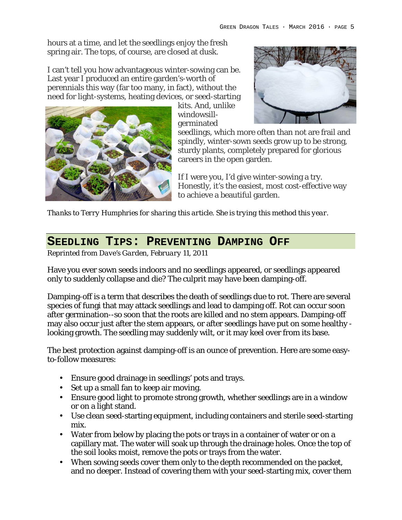hours at a time, and let the seedlings enjoy the fresh spring air. The tops, of course, are closed at dusk.

I can't tell you how advantageous winter-sowing can be. Last year I produced an entire garden's-worth of perennials this way (far too many, in fact), without the need for light-systems, heating devices, or seed-starting kits. And, unlike





seedlings, which more often than not are frail and spindly, winter-sown seeds grow up to be strong, sturdy plants, completely prepared for glorious careers in the open garden.

If I were you, I'd give winter-sowing a try. Honestly, it's the easiest, most cost-effective way to achieve a beautiful garden.

*Thanks to Terry Humphries for sharing this article. She is trying this method this year.*

germinated

### **SEEDLING TIPS: PREVENTING DAMPING OFF**

*Reprinted from Dave's Garden, February 11, 2011* 

Have you ever sown seeds indoors and no seedlings appeared, or seedlings appeared only to suddenly collapse and die? The culprit may have been damping-off.

Damping-off is a term that describes the death of seedlings due to rot. There are several species of fungi that may attack seedlings and lead to damping off. Rot can occur soon after germination--so soon that the roots are killed and no stem appears. Damping-off may also occur just after the stem appears, or after seedlings have put on some healthy looking growth. The seedling may suddenly wilt, or it may keel over from its base.

The best protection against damping-off is an ounce of prevention. Here are some easyto-follow measures:

- Ensure good drainage in seedlings' pots and trays.
- Set up a small fan to keep air moving.
- Ensure good light to promote strong growth, whether seedlings are in a window or on a light stand.
- Use clean seed-starting equipment, including containers and sterile seed-starting mix.
- Water from below by placing the pots or trays in a container of water or on a capillary mat. The water will soak up through the drainage holes. Once the top of the soil looks moist, remove the pots or trays from the water.
- When sowing seeds cover them only to the depth recommended on the packet, and no deeper. Instead of covering them with your seed-starting mix, cover them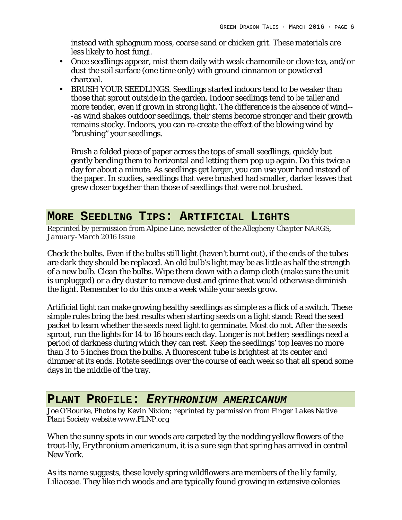instead with sphagnum moss, coarse sand or chicken grit. These materials are less likely to host fungi.

- Once seedlings appear, mist them daily with weak chamomile or clove tea, and/or dust the soil surface (one time only) with ground cinnamon or powdered charcoal.
- BRUSH YOUR SEEDLINGS. Seedlings started indoors tend to be weaker than those that sprout outside in the garden. Indoor seedlings tend to be taller and more tender, even if grown in strong light. The difference is the absence of wind-- -as wind shakes outdoor seedlings, their stems become stronger and their growth remains stocky. Indoors, you can re-create the effect of the blowing wind by "brushing" your seedlings.

Brush a folded piece of paper across the tops of small seedlings, quickly but gently bending them to horizontal and letting them pop up again. Do this twice a day for about a minute. As seedlings get larger, you can use your hand instead of the paper. In studies, seedlings that were brushed had smaller, darker leaves that grew closer together than those of seedlings that were not brushed.

### **MORE SEEDLING TIPS: ARTIFICIAL LIGHTS**

*Reprinted by permission from Alpine Line, newsletter of the Allegheny Chapter NARGS, January-March 2016 Issue*

Check the bulbs. Even if the bulbs still light (haven't burnt out), if the ends of the tubes are dark they should be replaced. An old bulb's light may be as little as half the strength of a new bulb. Clean the bulbs. Wipe them down with a damp cloth (make sure the unit is unplugged) or a dry duster to remove dust and grime that would otherwise diminish the light. Remember to do this once a week while your seeds grow.

Artificial light can make growing healthy seedlings as simple as a flick of a switch. These simple rules bring the best results when starting seeds on a light stand: Read the seed packet to learn whether the seeds need light to germinate. Most do not. After the seeds sprout, run the lights for 14 to 16 hours each day. Longer is not better; seedlings need a period of darkness during which they can rest. Keep the seedlings' top leaves no more than 3 to 5 inches from the bulbs. A fluorescent tube is brightest at its center and dimmer at its ends. Rotate seedlings over the course of each week so that all spend some days in the middle of the tray.

#### **PLANT PROFILE:** *ERYTHRONIUM AMERICANUM*

*Joe O'Rourke, Photos by Kevin Nixion; reprinted by permission from Finger Lakes Native Plant Society website www.FLNP.org*

When the sunny spots in our woods are carpeted by the nodding yellow flowers of the trout-lily, *Erythronium americanum*, it is a sure sign that spring has arrived in central New York.

As its name suggests, these lovely spring wildflowers are members of the lily family, *Liliaceae*. They like rich woods and are typically found growing in extensive colonies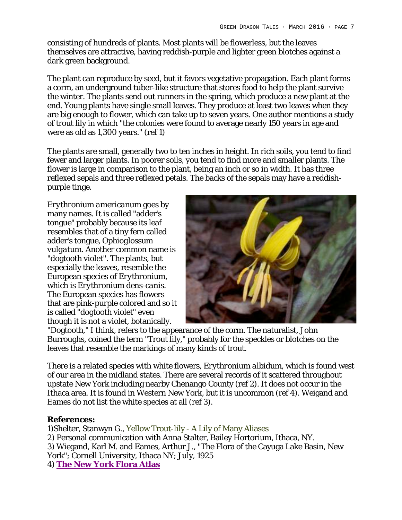consisting of hundreds of plants. Most plants will be flowerless, but the leaves themselves are attractive, having reddish-purple and lighter green blotches against a dark green background.

The plant can reproduce by seed, but it favors vegetative propagation. Each plant forms a corm, an underground tuber-like structure that stores food to help the plant survive the winter. The plants send out runners in the spring, which produce a new plant at the end. Young plants have single small leaves. They produce at least two leaves when they are big enough to flower, which can take up to seven years. One author mentions a study of trout lily in which "the colonies were found to average nearly 150 years in age and were as old as 1,300 years." (ref 1)

The plants are small, generally two to ten inches in height. In rich soils, you tend to find fewer and larger plants. In poorer soils, you tend to find more and smaller plants. The flower is large in comparison to the plant, being an inch or so in width. It has three reflexed sepals and three reflexed petals. The backs of the sepals may have a reddishpurple tinge.

*Erythronium americanum* goes by many names. It is called "adder's tongue" probably because its leaf resembles that of a tiny fern called adder's tongue, *Ophioglossum vulgatum*. Another common name is "dogtooth violet". The plants, but especially the leaves, resemble the European species of *Erythronium*, which is *Erythronium dens-canis*. The European species has flowers that are pink-purple colored and so it is called "dogtooth violet" even though it is not a violet, botanically.



"Dogtooth," I think, refers to the appearance of the corm. The naturalist, John Burroughs, coined the term "Trout lily," probably for the speckles or blotches on the leaves that resemble the markings of many kinds of trout.

There is a related species with white flowers, *Erythronium albidum*, which is found west of our area in the midland states. There are several records of it scattered throughout upstate New York including nearby Chenango County (ref 2). It does not occur in the Ithaca area. It is found in Western New York, but it is uncommon (ref 4). Weigand and Eames do not list the white species at all (ref 3).

#### **References:**

1)Shelter, Stanwyn G., Yellow Trout-lily - A Lily of Many Aliases 2) Personal communication with Anna Stalter, Bailey Hortorium, Ithaca, NY. 3) Wiegand, Karl M. and Eames, Arthur J., "The Flora of the Cayuga Lake Basin, New York"; Cornell University, Ithaca NY; July, 1925 4) **The New York Flora Atlas**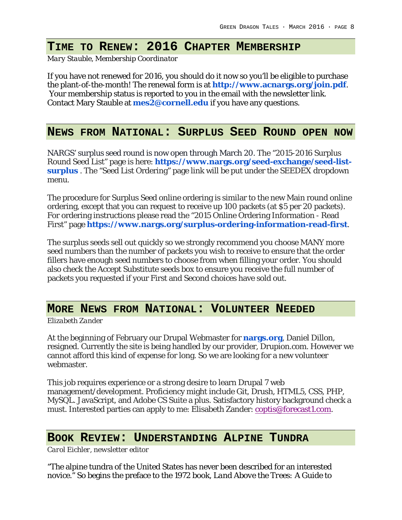# **TIME TO RENEW: 2016 CHAPTER MEMBERSHIP**

*Mary Stauble, Membership Coordinator*

If you have not renewed for 2016, you should do it now so you'll be eligible to purchase the plant-of-the-month! The renewal form is at **http://www.acnargs.org/join.pdf**. Your membership status is reported to you in the email with the newsletter link. Contact Mary Stauble at **mes2@cornell.edu** if you have any questions.

#### **NEWS FROM NATIONAL: SURPLUS SEED ROUND OPEN NOW**

NARGS' surplus seed round is now open through March 20. The "2015-2016 Surplus Round Seed List" page is here: **https://www.nargs.org/seed-exchange/seed-listsurplus** . The "Seed List Ordering" page link will be put under the SEEDEX dropdown menu.

The procedure for Surplus Seed online ordering is similar to the new Main round online ordering, except that you can request to receive up 100 packets (at \$5 per 20 packets). For ordering instructions please read the "2015 Online Ordering Information - Read First" page **https://www.nargs.org/surplus-ordering-information-read-first**.

The surplus seeds sell out quickly so we strongly recommend you choose MANY more seed numbers than the number of packets you wish to receive to ensure that the order fillers have enough seed numbers to choose from when filling your order. You should also check the Accept Substitute seeds box to ensure you receive the full number of packets you requested if your First and Second choices have sold out.

## **MORE NEWS FROM NATIONAL: VOLUNTEER NEEDED**

*Elizabeth Zander*

At the beginning of February our Drupal Webmaster for **nargs.org**, Daniel Dillon, resigned. Currently the site is being handled by our provider, Drupion.com. However we cannot afford this kind of expense for long. So we are looking for a new volunteer webmaster.

This job requires experience or a strong desire to learn Drupal 7 web management/development. Proficiency might include Git, Drush, HTML5, CSS, PHP, MySQL. JavaScript, and Adobe CS Suite a plus. Satisfactory history background check a must. Interested parties can apply to me: Elisabeth Zander: coptis@forecast1.com.

#### **BOOK REVIEW: UNDERSTANDING ALPINE TUNDRA**

*Carol Eichler, newsletter editor*

"The alpine tundra of the United States has never been described for an interested novice." So begins the preface to the 1972 book, *Land Above the Trees: A Guide to*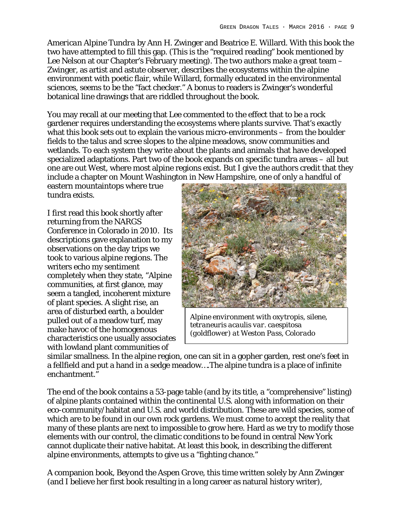*American Alpine Tundra* by Ann H. Zwinger and Beatrice E. Willard. With this book the two have attempted to fill this gap. (This is the "required reading" book mentioned by Lee Nelson at our Chapter's February meeting). The two authors make a great team – Zwinger, as artist and astute observer, describes the ecosystems within the alpine environment with poetic flair, while Willard, formally educated in the environmental sciences, seems to be the "fact checker." A bonus to readers is Zwinger's wonderful botanical line drawings that are riddled throughout the book.

You may recall at our meeting that Lee commented to the effect that to be a rock gardener requires understanding the ecosystems where plants survive. That's exactly what this book sets out to explain the various micro-environments – from the boulder fields to the talus and scree slopes to the alpine meadows, snow communities and wetlands. To each system they write about the plants and animals that have developed specialized adaptations. Part two of the book expands on specific tundra areas – all but one are out West, where most alpine regions exist. But I give the authors credit that they include a chapter on Mount Washington in New Hampshire, one of only a handful of

eastern mountaintops where true tundra exists.

I first read this book shortly after returning from the NARGS Conference in Colorado in 2010. Its descriptions gave explanation to my observations on the day trips we took to various alpine regions. The writers echo my sentiment completely when they state, "Alpine communities, at first glance, may seem a tangled, incoherent mixture of plant species. A slight rise, an area of disturbed earth, a boulder pulled out of a meadow turf, may make havoc of the homogenous characteristics one usually associates with lowland plant communities of



*Alpine environment with oxytropis, silene, tetraneuris acaulis var. caespitosa (goldflower) at Weston Pass, Colorado*

similar smallness. In the alpine region, one can sit in a gopher garden, rest one's feet in a fellfield and put a hand in a sedge meadow….The alpine tundra is a place of infinite enchantment."

The end of the book contains a 53-page table (and by its title, a "comprehensive" listing) of alpine plants contained within the continental U.S. along with information on their eco-community/habitat and U.S. and world distribution. These are wild species, some of which are to be found in our own rock gardens. We must come to accept the reality that many of these plants are next to impossible to grow here. Hard as we try to modify those elements with our control, the climatic conditions to be found in central New York cannot duplicate their native habitat. At least this book, in describing the different alpine environments, attempts to give us a "fighting chance."

A companion book, *Beyond the Aspen Grove*, this time written solely by Ann Zwinger (and I believe her first book resulting in a long career as natural history writer),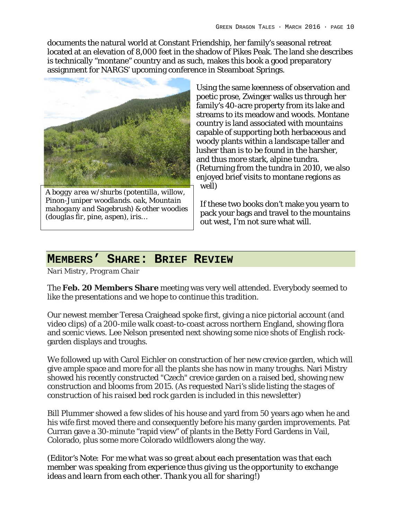documents the natural world at Constant Friendship, her family's seasonal retreat located at an elevation of 8,000 feet in the shadow of Pikes Peak. The land she describes is technically "montane" country and as such, makes this book a good preparatory assignment for NARGS' upcoming conference in Steamboat Springs.



*A boggy area w/shurbs (potentilla, willow, Pinon-Juniper woodlands. oak, Mountain mahogany and Sagebrush) & other woodies (douglas fir, pine, aspen), iris…*

Using the same keenness of observation and poetic prose, Zwinger walks us through her family's 40-acre property from its lake and streams to its meadow and woods. Montane country is land associated with mountains capable of supporting both herbaceous and woody plants within a landscape taller and lusher than is to be found in the harsher, and thus more stark, alpine tundra. (Returning from the tundra in 2010, we also enjoyed brief visits to montane regions as well)

If these two books don't make you yearn to pack your bags and travel to the mountains out west, I'm not sure what will.

## **MEMBERS' SHARE: BRIEF REVIEW**

*Nari Mistry, Program Chair*

The **Feb. 20 Members Share** meeting was very well attended. Everybody seemed to like the presentations and we hope to continue this tradition.

Our newest member Teresa Craighead spoke first, giving a nice pictorial account (and video clips) of a 200-mile walk coast-to-coast across northern England, showing flora and scenic views. Lee Nelson presented next showing some nice shots of English rockgarden displays and troughs.

We followed up with Carol Eichler on construction of her new crevice garden, which will give ample space and more for all the plants she has now in many troughs. Nari Mistry showed his recently constructed "Czech" crevice garden on a raised bed, showing new construction and blooms from 2015. (*As requested Nari's slide listing the stages of construction of his raised bed rock garden is included in this newsletter)*

Bill Plummer showed a few slides of his house and yard from 50 years ago when he and his wife first moved there and consequently before his many garden improvements. Pat Curran gave a 30-minute "rapid view" of plants in the Betty Ford Gardens in Vail, Colorado, plus some more Colorado wildflowers along the way.

*(Editor's Note: For me what was so great about each presentation was that each member was speaking from experience thus giving us the opportunity to exchange ideas and learn from each other. Thank you all for sharing!)*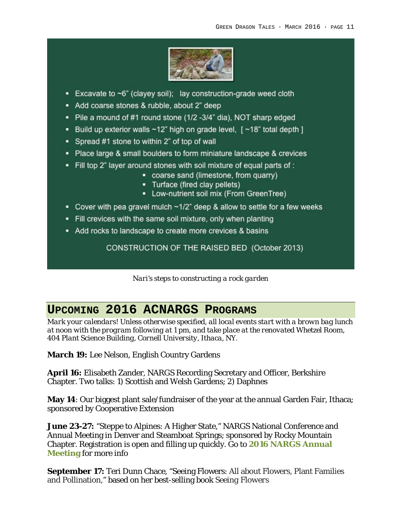

- Excavate to  $\neg 6$ " (clayey soil); lay construction-grade weed cloth
- Add coarse stones & rubble, about 2" deep
- Pile a mound of #1 round stone (1/2 -3/4" dia), NOT sharp edged
- Build up exterior walls ~12" high on grade level, [ ~18" total depth ]
- Spread #1 stone to within 2" of top of wall
- Place large & small boulders to form miniature landscape & crevices
- . Fill top 2" layer around stones with soil mixture of equal parts of :
	- coarse sand (limestone, from quarry)
	- Turface (fired clay pellets)
	- Low-nutrient soil mix (From GreenTree)
- Cover with pea gravel mulch  $\sim$ 1/2" deep & allow to settle for a few weeks
- Fill crevices with the same soil mixture, only when planting
- Add rocks to landscape to create more crevices & basins

CONSTRUCTION OF THE RAISED BED (October 2013)

*Nari's steps to constructing a rock garden*

# **UPCOMING 2016 ACNARGS PROGRAMS**

*Mark your calendars! Unless otherwise specified, all local events start with a brown bag lunch at noon with the program following at 1 pm, and take place at the renovated Whetzel Room, 404 Plant Science Building, Cornell University, Ithaca, NY.*

**March 19:** Lee Nelson, English Country Gardens

**April 16:** Elisabeth Zander, NARGS Recording Secretary and Officer, Berkshire Chapter. Two talks: 1) Scottish and Welsh Gardens; 2) Daphnes

**May 14**: Our biggest plant sale/fundraiser of the year at the annual Garden Fair, Ithaca; sponsored by Cooperative Extension

**June 23-27:** "Steppe to Alpines: A Higher State," NARGS National Conference and Annual Meeting in Denver and Steamboat Springs; sponsored by Rocky Mountain Chapter. Registration is open and filling up quickly. Go to **2016 NARGS Annual Meeting** for more info

**September 17:** Teri Dunn Chace, "Seeing Flowers: All about Flowers, Plant Families and Pollination," based on her best-selling book *Seeing Flowers*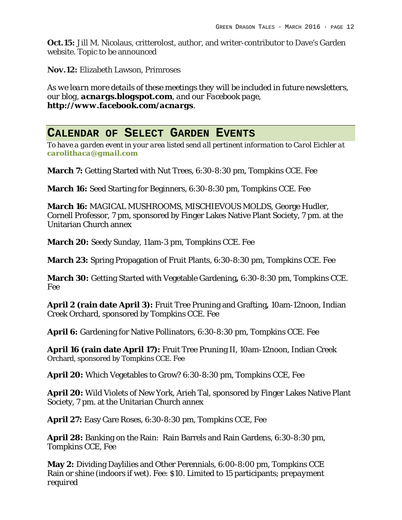**Oct.15:** Jill M. Nicolaus, critterolost, author, and writer-contributor to Dave's Garden website. Topic to be announced

**Nov.12:** Elizabeth Lawson, Primroses

*As we learn more details of these meetings they will be included in future newsletters, our blog, acnargs.blogspot.com, and our Facebook page, http://www.facebook.com/acnargs.*

#### **CALENDAR OF SELECT GARDEN EVENTS**

*To have a garden event in your area listed send all pertinent information to Carol Eichler at carolithaca@gmail.com*

**March 7:** Getting Started with Nut Trees, 6:30-8:30 pm, Tompkins CCE. Fee

**March 16:** Seed Starting for Beginners, 6:30-8:30 pm, Tompkins CCE. Fee

**March 16:** MAGICAL MUSHROOMS, MISCHIEVOUS MOLDS, George Hudler, Cornell Professor, 7 pm, sponsored by Finger Lakes Native Plant Society, 7 pm. at the Unitarian Church annex

**March 20:** Seedy Sunday, 11am-3 pm, Tompkins CCE. Fee

**March 23:** Spring Propagation of Fruit Plants, 6:30-8:30 pm, Tompkins CCE. Fee

**March 30:** Getting Started with Vegetable Gardening**,** 6:30-8:30 pm, Tompkins CCE. Fee

**April 2 (rain date April 3):** Fruit Tree Pruning and Grafting**,** 10am-12noon, Indian Creek Orchard, sponsored by Tompkins CCE. Fee

**April 6:** Gardening for Native Pollinators, 6:30-8:30 pm, Tompkins CCE. Fee

**April 16 (rain date April 17):** Fruit Tree Pruning II, 10am-12noon, Indian Creek Orchard, sponsored by Tompkins CCE. Fee

**April 20:** Which Vegetables to Grow? 6:30-8:30 pm, Tompkins CCE, Fee

**April 20:** Wild Violets of New York, Arieh Tal, sponsored by Finger Lakes Native Plant Society, 7 pm. at the Unitarian Church annex

**April 27:** Easy Care Roses, 6:30-8:30 pm, Tompkins CCE, Fee

**April 28:** Banking on the Rain: Rain Barrels and Rain Gardens, 6:30-8:30 pm, Tompkins CCE, Fee

**May 2:** Dividing Daylilies and Other Perennials, 6:00-8:00 pm, Tompkins CCE Rain or shine (indoors if wet). Fee: \$10. Limited to 15 participants; *prepayment required*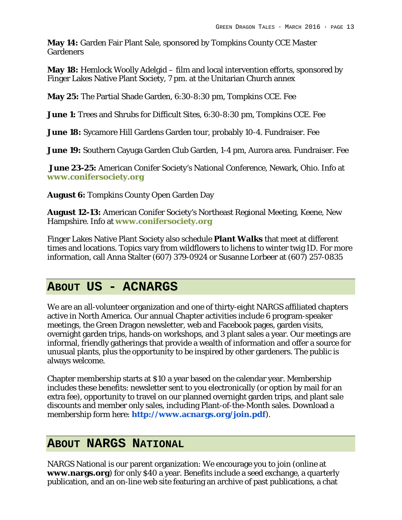**May 14:** Garden Fair Plant Sale, sponsored by Tompkins County CCE Master Gardeners

**May 18:** Hemlock Woolly Adelgid – film and local intervention efforts, sponsored by Finger Lakes Native Plant Society, 7 pm. at the Unitarian Church annex

**May 25:** The Partial Shade Garden, 6:30-8:30 pm, Tompkins CCE. Fee

**June 1:** Trees and Shrubs for Difficult Sites, 6:30-8:30 pm, Tompkins CCE. Fee

**June 18:** Sycamore Hill Gardens Garden tour, probably 10-4. Fundraiser. Fee

**June 19:** Southern Cayuga Garden Club Garden, 1-4 pm, Aurora area. Fundraiser. Fee

**June 23-25:** American Conifer Society's National Conference, Newark, Ohio. Info at **www.conifersociety.org**

**August 6:** Tompkins County Open Garden Day

**August 12-13:** American Conifer Society's Northeast Regional Meeting, Keene, New Hampshire. Info at **www.conifersociety.org**

Finger Lakes Native Plant Society also schedule **Plant Walks** that meet at different times and locations. Topics vary from wildflowers to lichens to winter twig ID. For more information, call Anna Stalter (607) 379-0924 or Susanne Lorbeer at (607) 257-0835

## **ABOUT US - ACNARGS**

We are an all-volunteer organization and one of thirty-eight NARGS affiliated chapters active in North America. Our annual Chapter activities include 6 program-speaker meetings, the Green Dragon newsletter, web and Facebook pages, garden visits, overnight garden trips, hands-on workshops, and 3 plant sales a year. Our meetings are informal, friendly gatherings that provide a wealth of information and offer a source for unusual plants, plus the opportunity to be inspired by other gardeners. The public is always welcome.

Chapter membership starts at \$10 a year based on the calendar year. Membership includes these benefits: newsletter sent to you electronically (or option by mail for an extra fee), opportunity to travel on our planned overnight garden trips, and plant sale discounts and member only sales, including Plant-of-the-Month sales. Download a membership form here: **http://www.acnargs.org/join.pdf**).

#### **ABOUT NARGS NATIONAL**

NARGS National is our parent organization: We encourage you to join (online at **www.nargs.org**) for only \$40 a year. Benefits include a seed exchange, a quarterly publication, and an on-line web site featuring an archive of past publications, a chat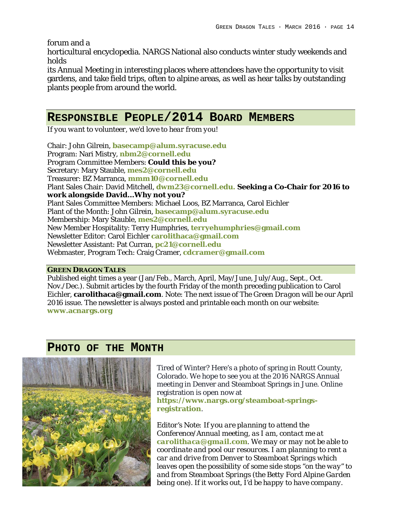forum and a

horticultural encyclopedia. NARGS National also conducts winter study weekends and holds

its Annual Meeting in interesting places where attendees have the opportunity to visit gardens, and take field trips, often to alpine areas, as well as hear talks by outstanding plants people from around the world.

## **RESPONSIBLE PEOPLE/2014 BOARD MEMBERS**

*If you want to volunteer, we'd love to hear from you!*

Chair: John Gilrein, **basecamp@alum.syracuse.edu** Program: Nari Mistry, **nbm2@cornell.edu** Program Committee Members: **Could this be you?** Secretary: Mary Stauble, **mes2@cornell.edu** Treasurer: BZ Marranca, **mmm10@cornell.edu** Plant Sales Chair: David Mitchell, **dwm23@cornell.edu. Seeking a Co-Chair for 2016 to work alongside David…Why not you?** Plant Sales Committee Members: Michael Loos, BZ Marranca, Carol Eichler Plant of the Month: John Gilrein, **basecamp@alum.syracuse.edu** Membership: Mary Stauble, **mes2@cornell.edu** New Member Hospitality: Terry Humphries, **terryehumphries@gmail.com** Newsletter Editor: Carol Eichler **carolithaca@gmail.com** Newsletter Assistant: Pat Curran, **pc21@cornell.edu** Webmaster, Program Tech: Craig Cramer, **cdcramer@gmail.com**

#### **GREEN DRAGON TALES**

Published eight times a year (Jan/Feb., March, April, May/June, July/Aug., Sept., Oct. Nov./Dec.). Submit articles by the fourth Friday of the month preceding publication to Carol Eichler, **carolithaca@gmail.com**. Note: The next issue of *The Green Dragon* will be our April 2016 issue. The newsletter is always posted and printable each month on our website: **www.acnargs.org**

**PHOTO OF THE MONTH**

Tired of Winter? Here's a photo of spring in Routt County, Colorado. We hope to see you at the 2016 NARGS Annual meeting in Denver and Steamboat Springs in June. Online registration is open now at **https://www.nargs.org/steamboat-springsregistration**.

*Editor's Note: If you are planning to attend the Conference/Annual meeting, as I am, contact me at carolithaca@gmail.com. We may or may not be able to coordinate and pool our resources. I am planning to rent a car and drive from Denver to Steamboat Springs which leaves open the possibility of some side stops "on the way" to and from Steamboat Springs (the Betty Ford Alpine Garden being one). If it works out, I'd be happy to have company.*